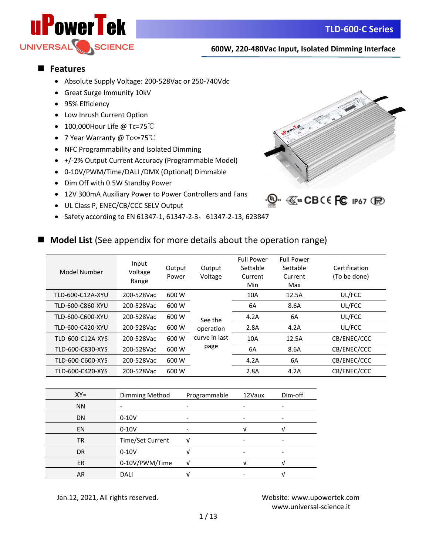

## ■ **Features**

- Absolute Supply Voltage: 200-528Vac or 250-740Vdc
- Great Surge Immunity 10kV
- 95% Efficiency
- Low Inrush Current Option
- 100,000Hour Life @ Tc=75℃
- 7 Year Warranty @ Tc<=75℃
- NFC Programmability and Isolated Dimming
- +/-2% Output Current Accuracy (Programmable Model)
- 0-10V/PWM/Time/DALI /DMX (Optional) Dimmable
- Dim Off with 0.5W Standby Power
- 12V 300mA Auxiliary Power to Power Controllers and Fans
- UL Class P, ENEC/CB/CCC SELV Output
- Safety according to EN 61347-1, 61347-2-3, 61347-2-13, 623847



## ■ **Model List** (See appendix for more details about the operation range)

| Model Number     | Input<br>Voltage<br>Range | Output<br>Power | Output<br>Voltage | <b>Full Power</b><br>Settable<br>Current<br>Min | <b>Full Power</b><br>Settable<br>Current<br>Max | Certification<br>(To be done) |
|------------------|---------------------------|-----------------|-------------------|-------------------------------------------------|-------------------------------------------------|-------------------------------|
| TLD-600-C12A-XYU | 200-528Vac                | 600 W           |                   | 10A                                             | 12.5A                                           | UL/FCC                        |
| TLD-600-C860-XYU | 200-528Vac                | 600 W           |                   | 6A                                              | 8.6A                                            | UL/FCC                        |
| TLD-600-C600-XYU | 200-528Vac                | 600 W           | See the           | 4.2A                                            | 6A                                              | UL/FCC                        |
| TLD-600-C420-XYU | 200-528Vac                | 600 W           | operation         | 2.8A                                            | 4.2A                                            | UL/FCC                        |
| TLD-600-C12A-XYS | 200-528Vac                | 600 W           | curve in last     | 10A                                             | 12.5A                                           | CB/ENEC/CCC                   |
| TLD-600-C830-XYS | 200-528Vac                | 600 W           | page              | 6A                                              | 8.6A                                            | CB/ENEC/CCC                   |
| TLD-600-C600-XYS | 200-528Vac                | 600 W           |                   | 4.2A                                            | 6A                                              | CB/ENEC/CCC                   |
| TLD-600-C420-XYS | 200-528Vac                | 600 W           |                   | 2.8A                                            | 4.2A                                            | CB/ENEC/CCC                   |

| $XY =$    | Dimming Method   | Programmable | 12Vaux | Dim-off |
|-----------|------------------|--------------|--------|---------|
| <b>NN</b> |                  |              |        |         |
| <b>DN</b> | $0-10V$          |              |        |         |
| <b>EN</b> | $0-10V$          |              |        |         |
| TR        | Time/Set Current |              |        |         |
| <b>DR</b> | $0-10V$          |              |        |         |
| <b>ER</b> | 0-10V/PWM/Time   |              |        |         |
| <b>AR</b> | <b>DALI</b>      |              |        |         |

Jan.12, 2021, All rights reserved. Website: [www.upowertek.com](http://www.upowertek.com/)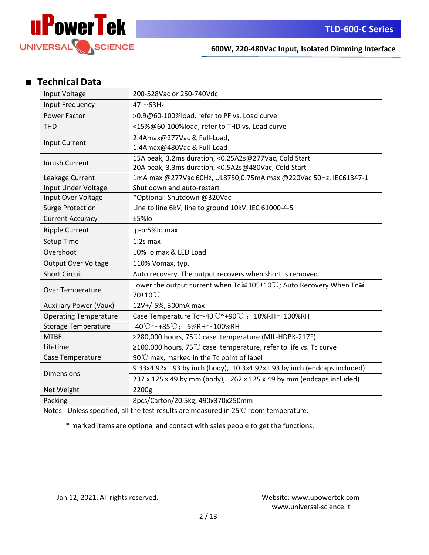

## ■ **Technical Data**

| Input Voltage                             | 200-528Vac or 250-740Vdc                                                                            |
|-------------------------------------------|-----------------------------------------------------------------------------------------------------|
| Input Frequency                           | $47 - 63$ Hz                                                                                        |
| Power Factor                              | >0.9@60-100%load, refer to PF vs. Load curve                                                        |
| <b>THD</b>                                | <15%@60-100%load, refer to THD vs. Load curve                                                       |
|                                           | 2.4Amax@277Vac & Full-Load,                                                                         |
| Input Current                             | 1.4Amax@480Vac & Full-Load                                                                          |
| Inrush Current                            | 15A peak, 3.2ms duration, <0.25A2s@277Vac, Cold Start                                               |
|                                           | 20A peak, 3.3ms duration, <0.5A2s@480Vac, Cold Start                                                |
| Leakage Current                           | 1mA max @277Vac 60Hz, UL8750,0.75mA max @220Vac 50Hz, IEC61347-1                                    |
| Input Under Voltage                       | Shut down and auto-restart                                                                          |
| Input Over Voltage                        | *Optional: Shutdown @320Vac                                                                         |
| <b>Surge Protection</b>                   | Line to line 6kV, line to ground 10kV, IEC 61000-4-5                                                |
| <b>Current Accuracy</b>                   | ±5%lo                                                                                               |
| <b>Ripple Current</b>                     | Ip-p:5%Io max                                                                                       |
| Setup Time                                | $1.2s$ max                                                                                          |
| Overshoot                                 | 10% Io max & LED Load                                                                               |
| <b>Output Over Voltage</b>                | 110% Vomax, typ.                                                                                    |
| <b>Short Circuit</b>                      | Auto recovery. The output recovers when short is removed.                                           |
| Over Temperature                          | Lower the output current when $Tc \ge 105 \pm 10^{\circ}$ C; Auto Recovery When Tc $\le$<br>70±10°C |
| <b>Auxiliary Power (Vaux)</b>             | 12V+/-5%, 300mA max                                                                                 |
| <b>Operating Temperature</b>              | Case Temperature Tc=-40°C~+90°C; 10%RH~100%RH                                                       |
|                                           | $-40^{\circ}\text{C} \sim +85^{\circ}\text{C}$ ; 5%RH $\sim$ 100%RH                                 |
| <b>Storage Temperature</b><br><b>MTBF</b> |                                                                                                     |
|                                           | ≥280,000 hours, 75 ℃ case temperature (MIL-HDBK-217F)                                               |
| Lifetime                                  | $\geq$ 100,000 hours, 75 °C case temperature, refer to life vs. Tc curve                            |
| Case Temperature                          | 90°C max, marked in the Tc point of label                                                           |
| <b>Dimensions</b>                         | 9.33x4.92x1.93 by inch (body), 10.3x4.92x1.93 by inch (endcaps included)                            |
|                                           | 237 x 125 x 49 by mm (body), 262 x 125 x 49 by mm (endcaps included)                                |
| Net Weight                                | 2200g                                                                                               |
| Packing                                   | 8pcs/Carton/20.5kg, 490x370x250mm                                                                   |

Notes: Unless specified, all the test results are measured in 25℃ room temperature.

\* marked items are optional and contact with sales people to get the functions.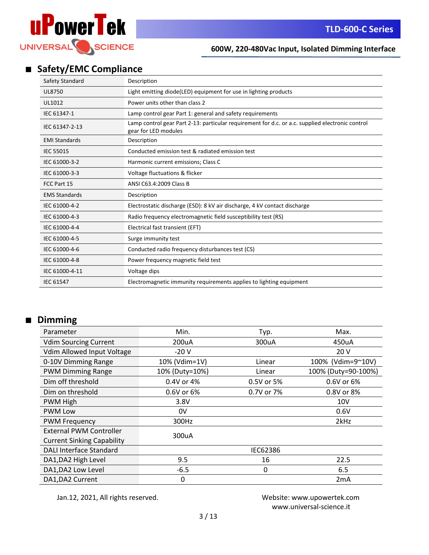

# ■ **Safety/EMC Compliance**

| Safety Standard      | Description                                                                                                              |
|----------------------|--------------------------------------------------------------------------------------------------------------------------|
| <b>UL8750</b>        | Light emitting diode(LED) equipment for use in lighting products                                                         |
| UL1012               | Power units other than class 2                                                                                           |
| IEC 61347-1          | Lamp control gear Part 1: general and safety requirements                                                                |
| IEC 61347-2-13       | Lamp control gear Part 2-13: particular requirement for d.c. or a.c. supplied electronic control<br>gear for LED modules |
| <b>EMI Standards</b> | Description                                                                                                              |
| <b>IEC 55015</b>     | Conducted emission test & radiated emission test                                                                         |
| IEC 61000-3-2        | Harmonic current emissions; Class C                                                                                      |
| IEC 61000-3-3        | Voltage fluctuations & flicker                                                                                           |
| FCC Part 15          | ANSI C63.4:2009 Class B                                                                                                  |
| <b>EMS Standards</b> | Description                                                                                                              |
| IEC 61000-4-2        | Electrostatic discharge (ESD): 8 kV air discharge, 4 kV contact discharge                                                |
| IEC 61000-4-3        | Radio frequency electromagnetic field susceptibility test (RS)                                                           |
| IEC 61000-4-4        | Electrical fast transient (EFT)                                                                                          |
| IEC 61000-4-5        | Surge immunity test                                                                                                      |
| IEC 61000-4-6        | Conducted radio frequency disturbances test (CS)                                                                         |
| IEC 61000-4-8        | Power frequency magnetic field test                                                                                      |
| IEC 61000-4-11       | Voltage dips                                                                                                             |
| <b>IEC 61547</b>     | Electromagnetic immunity requirements applies to lighting equipment                                                      |

# ■ **Dimming**

| Parameter                         | Min.           | Typ.       | Max.                |
|-----------------------------------|----------------|------------|---------------------|
| <b>Vdim Sourcing Current</b>      | 200uA          | 300uA      | 450uA               |
| Vdim Allowed Input Voltage        | $-20V$         |            | 20 V                |
| 0-10V Dimming Range               | 10% (Vdim=1V)  | Linear     | 100% (Vdim=9~10V)   |
| <b>PWM Dimming Range</b>          | 10% (Duty=10%) | Linear     | 100% (Duty=90-100%) |
| Dim off threshold                 | 0.4V or 4%     | 0.5V or 5% | 0.6V or 6%          |
| Dim on threshold                  | 0.6V or 6%     | 0.7V or 7% | 0.8V or 8%          |
| PWM High                          | 3.8V           |            | 10 <sub>V</sub>     |
| <b>PWM Low</b>                    | 0V             |            | 0.6V                |
| <b>PWM Frequency</b>              | 300Hz          |            | 2kHz                |
| <b>External PWM Controller</b>    | 300uA          |            |                     |
| <b>Current Sinking Capability</b> |                |            |                     |
| <b>DALI Interface Standard</b>    |                | IEC62386   |                     |
| DA1, DA2 High Level               | 9.5            | 16         | 22.5                |
| DA1, DA2 Low Level                | $-6.5$         | 0          | 6.5                 |
| DA1, DA2 Current                  | 0              |            | 2mA                 |

Jan.12, 2021, All rights reserved. Website: [www.upowertek.com](http://www.upowertek.com/)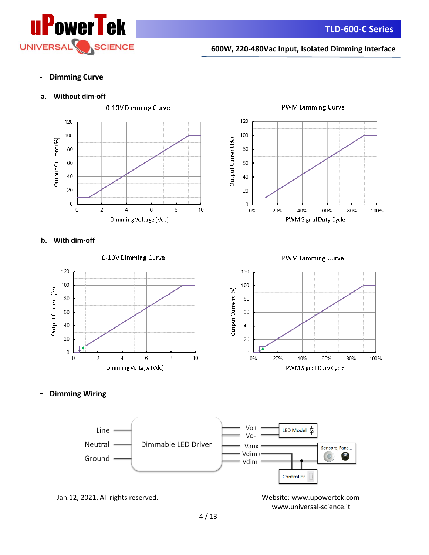

- **Dimming Curve**

## **a. Without dim-off**





**b. With dim-off** 



**PWM Dimming Curve** 



- **Dimming Wiring**

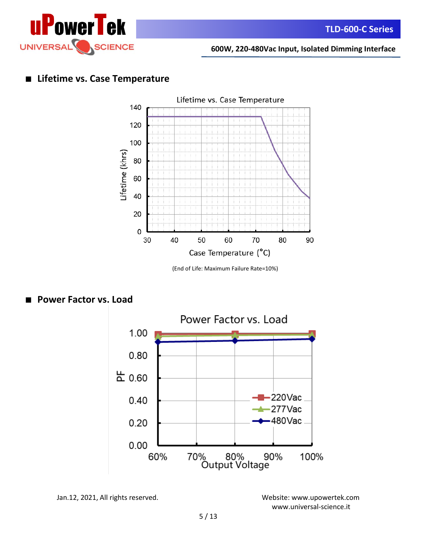

# ■ **Lifetime vs. Case Temperature**



(End of Life: Maximum Failure Rate=10%)



## ■ **Power Factor vs. Load**

Jan.12, 2021, All rights reserved. Website: [www.upowertek.com](http://www.upowertek.com/)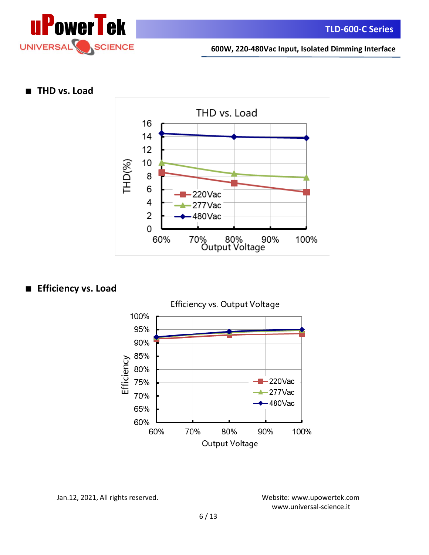

## ■ **THD vs. Load**



# ■ **Efficiency vs. Load**



Jan.12, 2021, All rights reserved. Website: [www.upowertek.com](http://www.upowertek.com/)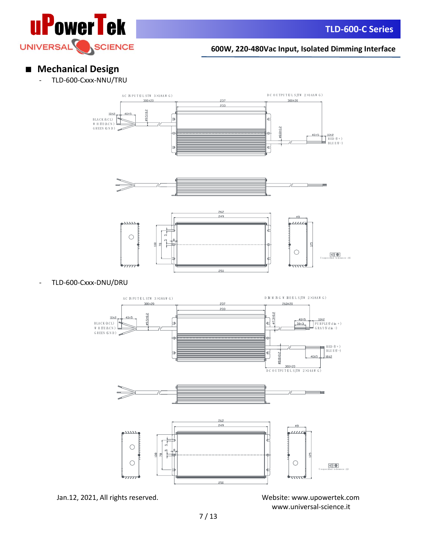

# ■ **Mechanical Design**

TLD-600-Cxxx-NNU/TRU







- TLD-600-Cxxx-DNU/DRU



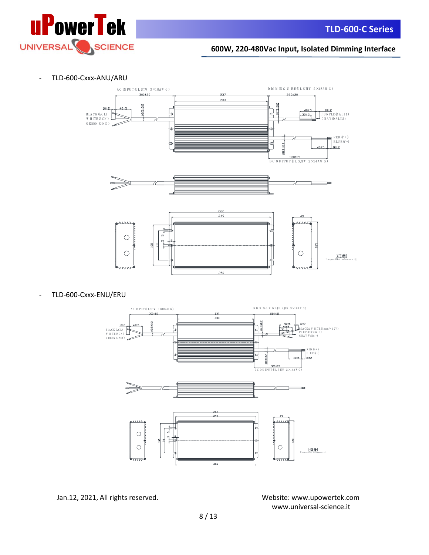

- TLD-600-Cxxx-ANU/ARU



- TLD-600-Cxxx-ENU/ERU



Jan.12, 2021, All rights reserved. Website: [www.upowertek.com](http://www.upowertek.com/)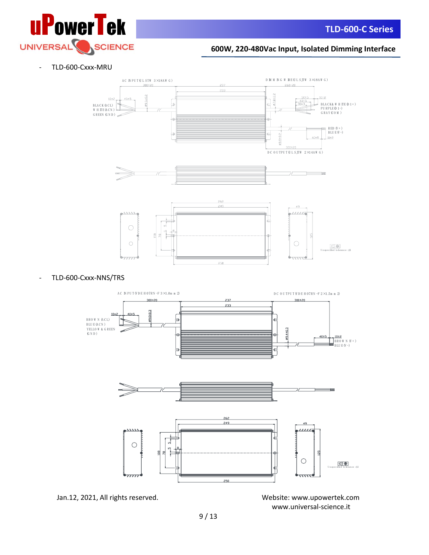

- TLD-600-Cxxx-MRU



## - TLD-600-Cxxx-NNS/TRS

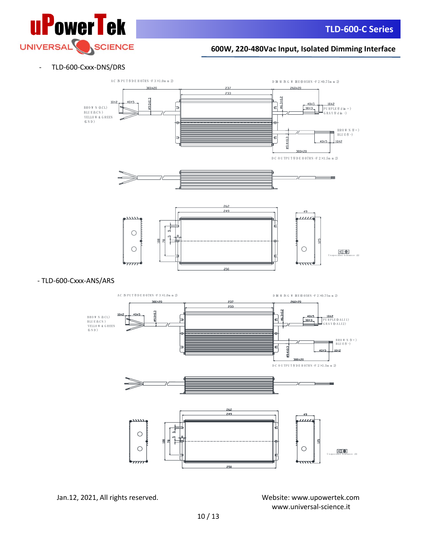

## - TLD-600-Cxxx-DNS/DRS



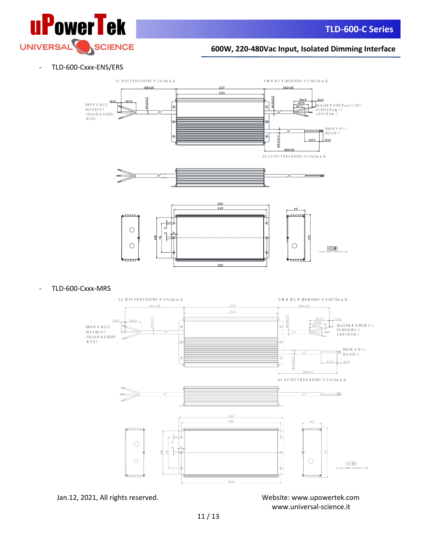

## - TLD-600-Cxxx-ENS/ERS



TLD-600-Cxxx-MRS



Jan.12, 2021, All rights reserved. Website: [www.upowertek.com](http://www.upowertek.com/) [www.universal-science.it](https://www.universal-science.it/)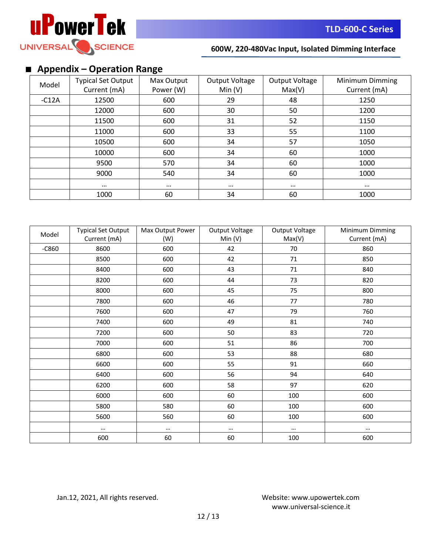

# ■ **Appendix – Operation Range**

| Model   | <b>Typical Set Output</b><br>Current (mA) | Max Output<br>Power (W) | Output Voltage<br>Min(V) | Output Voltage<br>Max(V) | Minimum Dimming<br>Current (mA) |
|---------|-------------------------------------------|-------------------------|--------------------------|--------------------------|---------------------------------|
| $-C12A$ | 12500                                     | 600                     | 29                       | 48                       | 1250                            |
|         | 12000                                     | 600                     | 30                       | 50                       | 1200                            |
|         | 11500                                     | 600                     | 31                       | 52                       | 1150                            |
|         | 11000                                     | 600                     | 33                       | 55                       | 1100                            |
|         | 10500                                     | 600                     | 34                       | 57                       | 1050                            |
|         | 10000                                     | 600                     | 34                       | 60                       | 1000                            |
|         | 9500                                      | 570                     | 34                       | 60                       | 1000                            |
|         | 9000                                      | 540                     | 34                       | 60                       | 1000                            |
|         | $\cdots$                                  | $\cdots$                | $\cdots$                 | $\cdots$                 | $\cdots$                        |
|         | 1000                                      | 60                      | 34                       | 60                       | 1000                            |

| Model   | <b>Typical Set Output</b> | Max Output Power | Output Voltage | Output Voltage | Minimum Dimming |
|---------|---------------------------|------------------|----------------|----------------|-----------------|
|         | Current (mA)              | (W)              | Min (V)        | Max(V)         | Current (mA)    |
| $-C860$ | 8600                      | 600              | 42             | 70             | 860             |
|         | 8500                      | 600              | 42             | 71             | 850             |
|         | 8400                      | 600              | 43             | 71             | 840             |
|         | 8200                      | 600              | 44             | 73             | 820             |
|         | 8000                      | 600              | 45             | 75             | 800             |
|         | 7800                      | 600              | 46             | 77             | 780             |
|         | 7600                      | 600              | 47             | 79             | 760             |
|         | 7400                      | 600              | 49             | 81             | 740             |
|         | 7200                      | 600              | 50             | 83             | 720             |
|         | 7000                      | 600              | 51             | 86             | 700             |
|         | 6800                      | 600              | 53             | 88             | 680             |
|         | 6600                      | 600              | 55             | 91             | 660             |
|         | 6400                      | 600              | 56             | 94             | 640             |
|         | 6200                      | 600              | 58             | 97             | 620             |
|         | 6000                      | 600              | 60             | 100            | 600             |
|         | 5800                      | 580              | 60             | 100            | 600             |
|         | 5600                      | 560              | 60             | 100            | 600             |
|         | $\cdots$                  | $\cdots$         | $\cdots$       | $\cdots$       |                 |
|         | 600                       | 60               | 60             | 100            | 600             |

Jan.12, 2021, All rights reserved. Website: [www.upowertek.com](http://www.upowertek.com/)